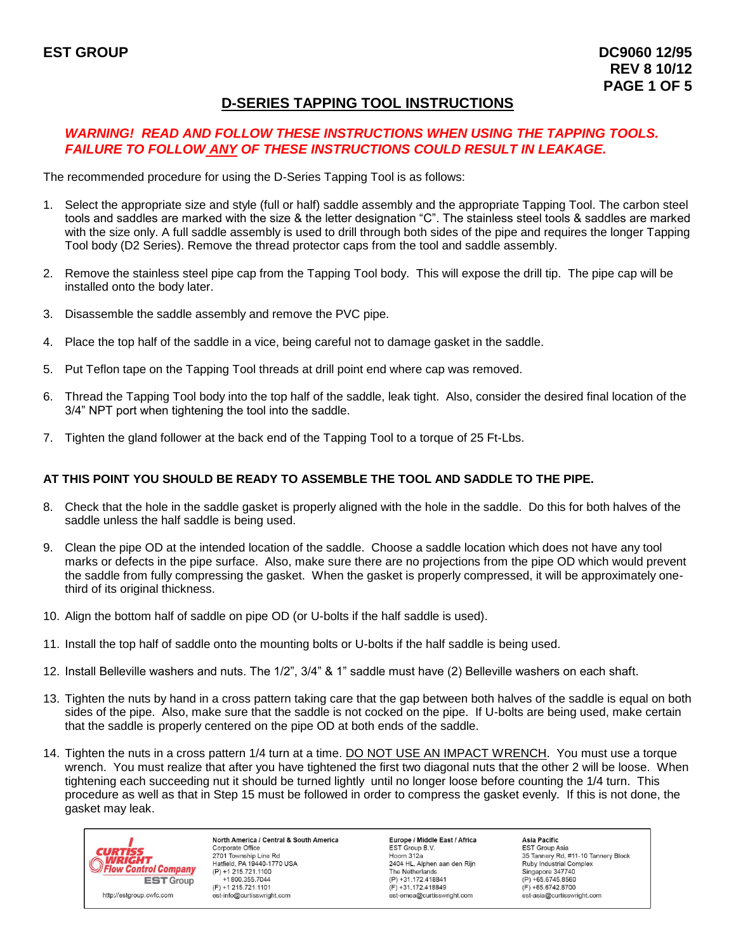# **D-SERIES TAPPING TOOL INSTRUCTIONS**

## *WARNING! READ AND FOLLOW THESE INSTRUCTIONS WHEN USING THE TAPPING TOOLS. FAILURE TO FOLLOW ANY OF THESE INSTRUCTIONS COULD RESULT IN LEAKAGE.*

The recommended procedure for using the D-Series Tapping Tool is as follows:

- 1. Select the appropriate size and style (full or half) saddle assembly and the appropriate Tapping Tool. The carbon steel tools and saddles are marked with the size & the letter designation "C". The stainless steel tools & saddles are marked with the size only. A full saddle assembly is used to drill through both sides of the pipe and requires the longer Tapping Tool body (D2 Series). Remove the thread protector caps from the tool and saddle assembly.
- 2. Remove the stainless steel pipe cap from the Tapping Tool body. This will expose the drill tip. The pipe cap will be installed onto the body later.
- 3. Disassemble the saddle assembly and remove the PVC pipe.
- 4. Place the top half of the saddle in a vice, being careful not to damage gasket in the saddle.
- 5. Put Teflon tape on the Tapping Tool threads at drill point end where cap was removed.
- 6. Thread the Tapping Tool body into the top half of the saddle, leak tight. Also, consider the desired final location of the 3/4" NPT port when tightening the tool into the saddle.
- 7. Tighten the gland follower at the back end of the Tapping Tool to a torque of 25 Ft-Lbs.

#### **AT THIS POINT YOU SHOULD BE READY TO ASSEMBLE THE TOOL AND SADDLE TO THE PIPE.**

- 8. Check that the hole in the saddle gasket is properly aligned with the hole in the saddle. Do this for both halves of the saddle unless the half saddle is being used.
- 9. Clean the pipe OD at the intended location of the saddle. Choose a saddle location which does not have any tool marks or defects in the pipe surface. Also, make sure there are no projections from the pipe OD which would prevent the saddle from fully compressing the gasket. When the gasket is properly compressed, it will be approximately onethird of its original thickness.
- 10. Align the bottom half of saddle on pipe OD (or U-bolts if the half saddle is used).
- 11. Install the top half of saddle onto the mounting bolts or U-bolts if the half saddle is being used.
- 12. Install Belleville washers and nuts. The 1/2", 3/4" & 1" saddle must have (2) Belleville washers on each shaft.
- 13. Tighten the nuts by hand in a cross pattern taking care that the gap between both halves of the saddle is equal on both sides of the pipe. Also, make sure that the saddle is not cocked on the pipe. If U-bolts are being used, make certain that the saddle is properly centered on the pipe OD at both ends of the saddle.
- 14. Tighten the nuts in a cross pattern 1/4 turn at a time. DO NOT USE AN IMPACT WRENCH. You must use a torque wrench. You must realize that after you have tightened the first two diagonal nuts that the other 2 will be loose. When tightening each succeeding nut it should be turned lightly until no longer loose before counting the 1/4 turn. This procedure as well as that in Step 15 must be followed in order to compress the gasket evenly. If this is not done, the gasket may leak.



North America / Central & South America Corporate Office 2701 Township Line Rd<br>Hatfield, PA 19440-1770 USA  $(P) + 1215.721.1100$ +1800.355.7044  $(F) + 1215.721.1101$ est-info@curtisswright.com

**Europe / Middle East / Africa** EST Group B.V. Hoorn  $312a$ 2404 HL, Alphen aan den Rijn The Netherlands  $(P) +31.172.418841$  $(F) + 31.172.418849$ est-emea@curtisswright.com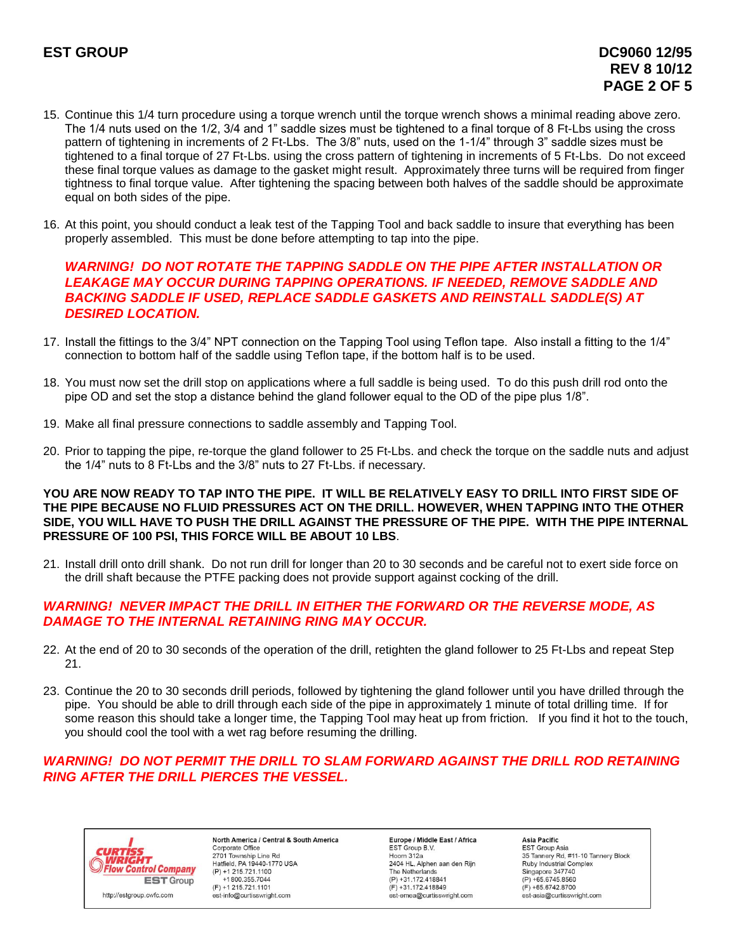- 15. Continue this 1/4 turn procedure using a torque wrench until the torque wrench shows a minimal reading above zero. The 1/4 nuts used on the 1/2, 3/4 and 1" saddle sizes must be tightened to a final torque of 8 Ft-Lbs using the cross pattern of tightening in increments of 2 Ft-Lbs. The 3/8" nuts, used on the 1-1/4" through 3" saddle sizes must be tightened to a final torque of 27 Ft-Lbs. using the cross pattern of tightening in increments of 5 Ft-Lbs. Do not exceed these final torque values as damage to the gasket might result. Approximately three turns will be required from finger tightness to final torque value. After tightening the spacing between both halves of the saddle should be approximate equal on both sides of the pipe.
- 16. At this point, you should conduct a leak test of the Tapping Tool and back saddle to insure that everything has been properly assembled. This must be done before attempting to tap into the pipe.

#### *WARNING! DO NOT ROTATE THE TAPPING SADDLE ON THE PIPE AFTER INSTALLATION OR LEAKAGE MAY OCCUR DURING TAPPING OPERATIONS. IF NEEDED, REMOVE SADDLE AND BACKING SADDLE IF USED, REPLACE SADDLE GASKETS AND REINSTALL SADDLE(S) AT DESIRED LOCATION.*

- 17. Install the fittings to the 3/4" NPT connection on the Tapping Tool using Teflon tape. Also install a fitting to the 1/4" connection to bottom half of the saddle using Teflon tape, if the bottom half is to be used.
- 18. You must now set the drill stop on applications where a full saddle is being used. To do this push drill rod onto the pipe OD and set the stop a distance behind the gland follower equal to the OD of the pipe plus 1/8".
- 19. Make all final pressure connections to saddle assembly and Tapping Tool.
- 20. Prior to tapping the pipe, re-torque the gland follower to 25 Ft-Lbs. and check the torque on the saddle nuts and adjust the 1/4" nuts to 8 Ft-Lbs and the 3/8" nuts to 27 Ft-Lbs. if necessary.

#### **YOU ARE NOW READY TO TAP INTO THE PIPE. IT WILL BE RELATIVELY EASY TO DRILL INTO FIRST SIDE OF THE PIPE BECAUSE NO FLUID PRESSURES ACT ON THE DRILL. HOWEVER, WHEN TAPPING INTO THE OTHER SIDE, YOU WILL HAVE TO PUSH THE DRILL AGAINST THE PRESSURE OF THE PIPE. WITH THE PIPE INTERNAL PRESSURE OF 100 PSI, THIS FORCE WILL BE ABOUT 10 LBS**.

21. Install drill onto drill shank. Do not run drill for longer than 20 to 30 seconds and be careful not to exert side force on the drill shaft because the PTFE packing does not provide support against cocking of the drill.

#### *WARNING! NEVER IMPACT THE DRILL IN EITHER THE FORWARD OR THE REVERSE MODE, AS DAMAGE TO THE INTERNAL RETAINING RING MAY OCCUR.*

- 22. At the end of 20 to 30 seconds of the operation of the drill, retighten the gland follower to 25 Ft-Lbs and repeat Step 21.
- 23. Continue the 20 to 30 seconds drill periods, followed by tightening the gland follower until you have drilled through the pipe. You should be able to drill through each side of the pipe in approximately 1 minute of total drilling time. If for some reason this should take a longer time, the Tapping Tool may heat up from friction. If you find it hot to the touch, you should cool the tool with a wet rag before resuming the drilling.

## *WARNING! DO NOT PERMIT THE DRILL TO SLAM FORWARD AGAINST THE DRILL ROD RETAINING RING AFTER THE DRILL PIERCES THE VESSEL.*



North America / Central & South America Corporate Office 2701 Township Line Rd<br>Hatfield, PA 19440-1770 USA  $(P) + 1215.721.1100$  $+1800.355.7044$  $(F) + 1215.721.1101$ est-info@curtisswright.com

**Europe / Middle East / Africa** EST Group B.V. Hoorn  $312a$ 2404 HL, Alphen aan den Rijn The Netherlands  $(P) + 31.172.418841$  $(F) + 31.172.418849$ est-emea@curtisswright.com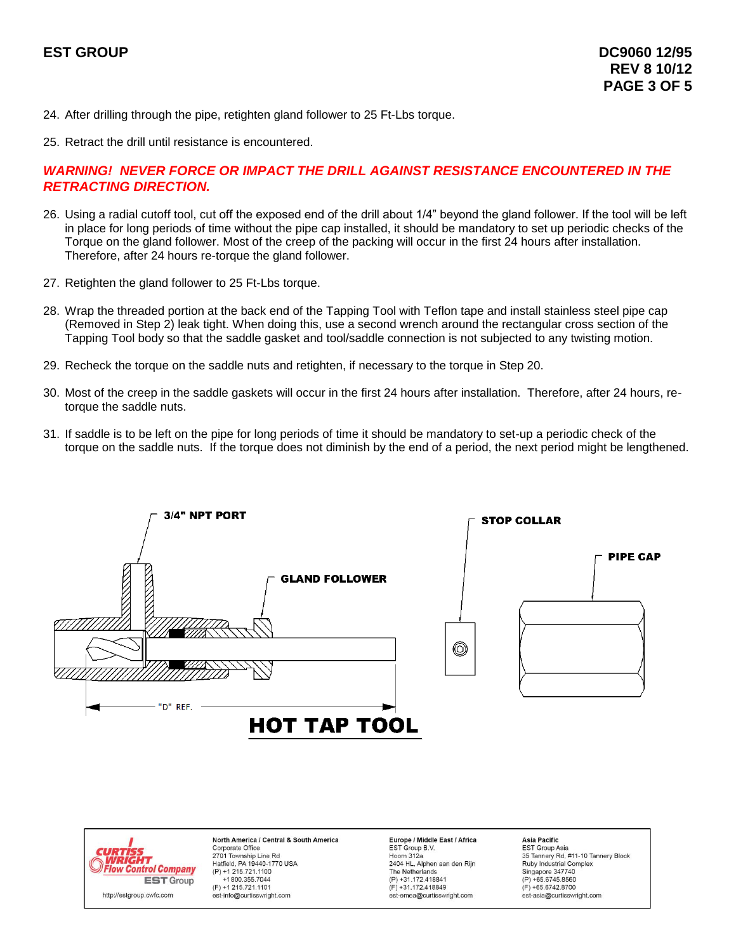- 24. After drilling through the pipe, retighten gland follower to 25 Ft-Lbs torque.
- 25. Retract the drill until resistance is encountered.

#### *WARNING! NEVER FORCE OR IMPACT THE DRILL AGAINST RESISTANCE ENCOUNTERED IN THE RETRACTING DIRECTION.*

- 26. Using a radial cutoff tool, cut off the exposed end of the drill about 1/4" beyond the gland follower. If the tool will be left in place for long periods of time without the pipe cap installed, it should be mandatory to set up periodic checks of the Torque on the gland follower. Most of the creep of the packing will occur in the first 24 hours after installation. Therefore, after 24 hours re-torque the gland follower.
- 27. Retighten the gland follower to 25 Ft-Lbs torque.
- 28. Wrap the threaded portion at the back end of the Tapping Tool with Teflon tape and install stainless steel pipe cap (Removed in Step 2) leak tight. When doing this, use a second wrench around the rectangular cross section of the Tapping Tool body so that the saddle gasket and tool/saddle connection is not subjected to any twisting motion.
- 29. Recheck the torque on the saddle nuts and retighten, if necessary to the torque in Step 20.
- 30. Most of the creep in the saddle gaskets will occur in the first 24 hours after installation. Therefore, after 24 hours, retorque the saddle nuts.
- 31. If saddle is to be left on the pipe for long periods of time it should be mandatory to set-up a periodic check of the torque on the saddle nuts. If the torque does not diminish by the end of a period, the next period might be lengthened.





North America / Central & South America Corporate Office 2701 Township Line Rd<br>Hatfield, PA 19440-1770 USA  $(P) + 1215.721.1100$ +1800.355.7044  $(F) + 1215.721.1101$ est-info@curtisswright.com

**Europe / Middle East / Africa** EST Group B.V. Hoorn  $312a$ 2404 HL, Alphen aan den Rijn The Netherlands (P) +31.172.418841  $(F) + 31.172.418849$ est-emea@curtisswright.com

Asia Pacific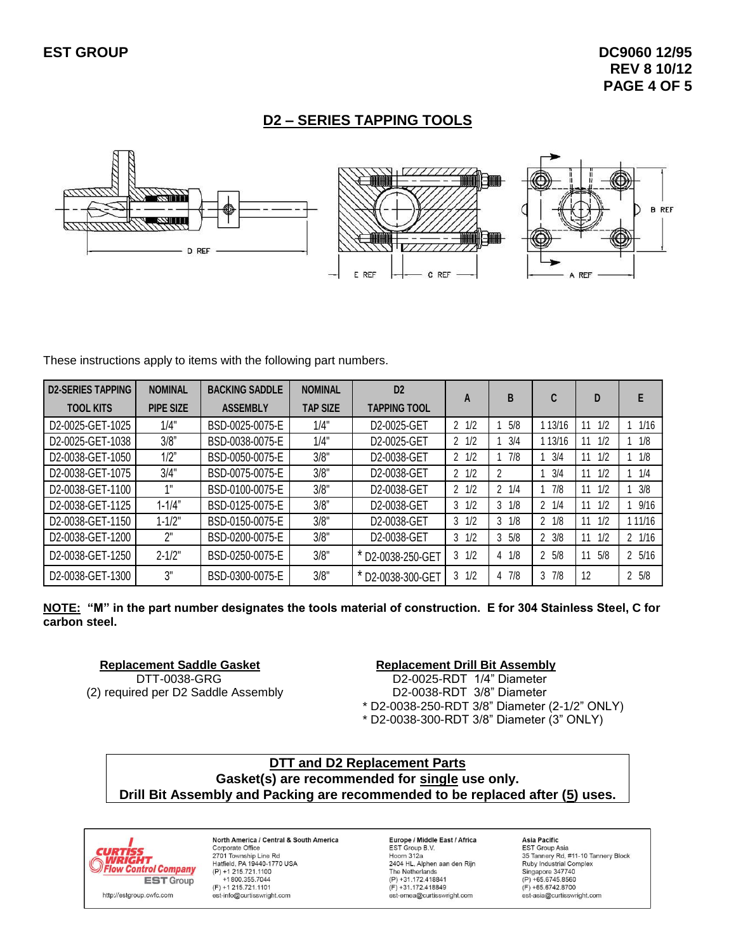## **D2 – SERIES TAPPING TOOLS**



These instructions apply to items with the following part numbers.

| <b>D2-SERIES TAPPING</b> | <b>NOMINAL</b>   | <b>BACKING SADDLE</b> | <b>NOMINAL</b>  | D <sub>2</sub>      |                 | В               | C                   | D         | Е                |
|--------------------------|------------------|-----------------------|-----------------|---------------------|-----------------|-----------------|---------------------|-----------|------------------|
| <b>TOOL KITS</b>         | <b>PIPE SIZE</b> | <b>ASSEMBLY</b>       | <b>TAP SIZE</b> | <b>TAPPING TOOL</b> | A               |                 |                     |           |                  |
| D2-0025-GET-1025         | 1/4"             | BSD-0025-0075-E       | 1/4"            | D2-0025-GET         | $2 \frac{1}{2}$ | 5/8             | 13/16               | 1/2<br>11 | 1/16             |
| D2-0025-GET-1038         | 3/8"             | BSD-0038-0075-E       | 1/4"            | D2-0025-GET         | $2 \frac{1}{2}$ | 3/4             | 13/16               | 1/2<br>11 | 1/8              |
| D2-0038-GET-1050         | 1/2"             | BSD-0050-0075-E       | 3/8"            | D2-0038-GET         | $2 \frac{1}{2}$ | 7/8             | 3/4                 | 1/2<br>11 | 1/8              |
| D2-0038-GET-1075         | 3/4"             | BSD-0075-0075-E       | 3/8"            | D2-0038-GET         | $2 \frac{1}{2}$ |                 | 3/4                 | 1/2<br>11 | 1/4              |
| D2-0038-GET-1100         | $\sim$           | BSD-0100-0075-E       | 3/8"            | D2-0038-GET         | $2 \frac{1}{2}$ | $2 \frac{1}{4}$ | 7/8                 | 1/2<br>11 | 3/8              |
| D2-0038-GET-1125         | $1 - 1/4"$       | BSD-0125-0075-E       | 3/8"            | D2-0038-GET         | 1/2<br>3        | 1/8<br>3        | 1/4<br>$\mathbf{2}$ | 1/2<br>11 | 9/16             |
| D2-0038-GET-1150         | $1 - 1/2"$       | BSD-0150-0075-E       | 3/8"            | D2-0038-GET         | 1/2<br>3        | 1/8<br>3        | 1/8<br>$\mathbf{2}$ | 1/2<br>11 | 11/16            |
| D2-0038-GET-1200         | 2"               | BSD-0200-0075-E       | 3/8"            | D2-0038-GET         | 1/2<br>3        | 5/8<br>3        | $2 \frac{3}{8}$     | 1/2<br>11 | 1/16<br>2        |
| D2-0038-GET-1250         | $2 - 1/2"$       | BSD-0250-0075-E       | 3/8"            | D2-0038-250-GET     | 1/2<br>3        | $4 \frac{1}{8}$ | $2 \frac{5}{8}$     | 5/8<br>11 | $2 \frac{5}{16}$ |
| D2-0038-GET-1300         | 3"               | BSD-0300-0075-E       | 3/8"            | D2-0038-300-GET     | 1/2<br>3        | 47/8            | 7/8<br>3            | 12        | 5/8<br>2         |

**NOTE: "M" in the part number designates the tools material of construction. E for 304 Stainless Steel, C for carbon steel.**

**Replacement Saddle Gasket Replacement Drill Bit Assembly** 

DTT-0038-GRG D2-0025-RDT 1/4" Diameter (2) required per D2 Saddle Assembly D2-0038-RDT 3/8" Diameter \* D2-0038-250-RDT 3/8" Diameter (2-1/2" ONLY) \* D2-0038-300-RDT 3/8" Diameter (3" ONLY)

## **DTT and D2 Replacement Parts Gasket(s) are recommended for single use only. Drill Bit Assembly and Packing are recommended to be replaced after (5) uses.**



North America / Central & South America Corporate Office 2701 Township Line Rd<br>Hatfield, PA 19440-1770 USA  $(P) + 1215.721.1100$ <br>+1800.355.7044  $(F) + 1215.721.1101$ est-info@curtisswright.com

Europe / Middle East / Africa EST Group B.V. Hoorn 312a 2404 HL, Alphen aan den Rijn The Netherlands (P) +31.172.418841  $(F) + 31.172.418849$ est-emea@curtisswright.com